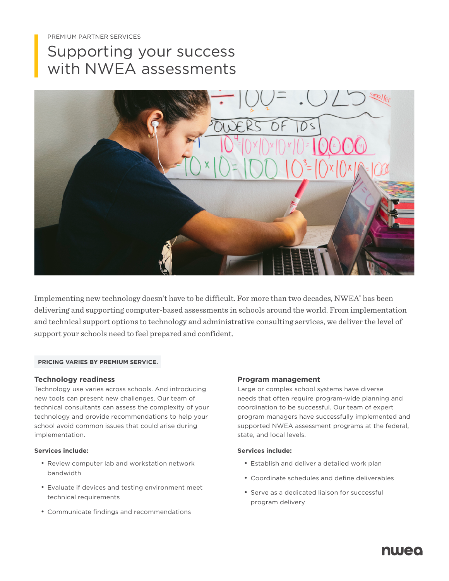# Supporting your success with NWEA assessments



Implementing new technology doesn't have to be difficult. For more than two decades, NWEA® has been delivering and supporting computer-based assessments in schools around the world. From implementation and technical support options to technology and administrative consulting services, we deliver the level of support your schools need to feel prepared and confident.

#### **PRICING VARIES BY PREMIUM SERVICE.**

#### **Technology readiness**

Technology use varies across schools. And introducing new tools can present new challenges. Our team of technical consultants can assess the complexity of your technology and provide recommendations to help your school avoid common issues that could arise during implementation.

#### **Services include:**

- Review computer lab and workstation network bandwidth
- Evaluate if devices and testing environment meet technical requirements
- Communicate findings and recommendations

#### **Program management**

Large or complex school systems have diverse needs that often require program-wide planning and coordination to be successful. Our team of expert program managers have successfully implemented and supported NWEA assessment programs at the federal, state, and local levels.

#### **Services include:**

- Establish and deliver a detailed work plan
- Coordinate schedules and define deliverables
- Serve as a dedicated liaison for successful program delivery